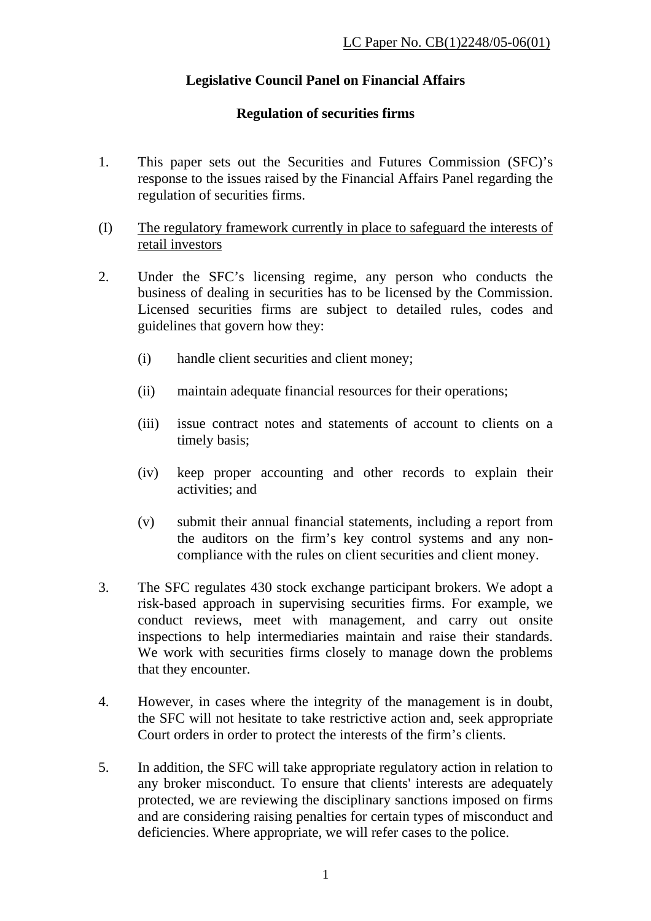## **Legislative Council Panel on Financial Affairs**

### **Regulation of securities firms**

- 1. This paper sets out the Securities and Futures Commission (SFC)'s response to the issues raised by the Financial Affairs Panel regarding the regulation of securities firms.
- (I) The regulatory framework currently in place to safeguard the interests of retail investors
- 2. Under the SFC's licensing regime, any person who conducts the business of dealing in securities has to be licensed by the Commission. Licensed securities firms are subject to detailed rules, codes and guidelines that govern how they:
	- (i) handle client securities and client money;
	- (ii) maintain adequate financial resources for their operations;
	- (iii) issue contract notes and statements of account to clients on a timely basis;
	- (iv) keep proper accounting and other records to explain their activities; and
	- (v) submit their annual financial statements, including a report from the auditors on the firm's key control systems and any noncompliance with the rules on client securities and client money.
- 3. The SFC regulates 430 stock exchange participant brokers. We adopt a risk-based approach in supervising securities firms. For example, we conduct reviews, meet with management, and carry out onsite inspections to help intermediaries maintain and raise their standards. We work with securities firms closely to manage down the problems that they encounter.
- 4. However, in cases where the integrity of the management is in doubt, the SFC will not hesitate to take restrictive action and, seek appropriate Court orders in order to protect the interests of the firm's clients.
- 5. In addition, the SFC will take appropriate regulatory action in relation to any broker misconduct. To ensure that clients' interests are adequately protected, we are reviewing the disciplinary sanctions imposed on firms and are considering raising penalties for certain types of misconduct and deficiencies. Where appropriate, we will refer cases to the police.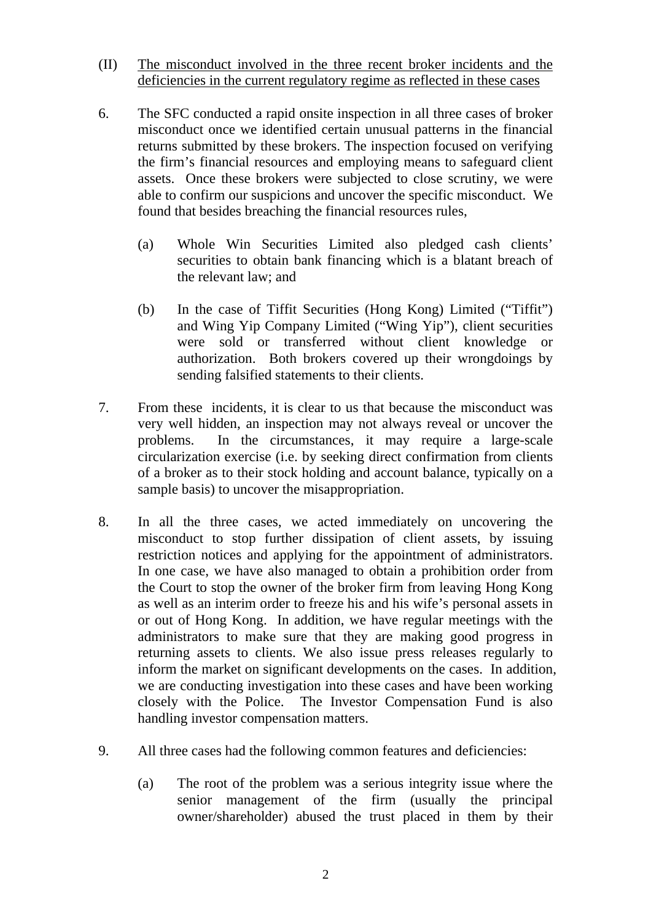- (II) The misconduct involved in the three recent broker incidents and the deficiencies in the current regulatory regime as reflected in these cases
- 6. The SFC conducted a rapid onsite inspection in all three cases of broker misconduct once we identified certain unusual patterns in the financial returns submitted by these brokers. The inspection focused on verifying the firm's financial resources and employing means to safeguard client assets. Once these brokers were subjected to close scrutiny, we were able to confirm our suspicions and uncover the specific misconduct. We found that besides breaching the financial resources rules,
	- (a) Whole Win Securities Limited also pledged cash clients' securities to obtain bank financing which is a blatant breach of the relevant law; and
	- (b) In the case of Tiffit Securities (Hong Kong) Limited ("Tiffit") and Wing Yip Company Limited ("Wing Yip"), client securities were sold or transferred without client knowledge or authorization. Both brokers covered up their wrongdoings by sending falsified statements to their clients.
- 7. From these incidents, it is clear to us that because the misconduct was very well hidden, an inspection may not always reveal or uncover the problems. In the circumstances, it may require a large-scale circularization exercise (i.e. by seeking direct confirmation from clients of a broker as to their stock holding and account balance, typically on a sample basis) to uncover the misappropriation.
- 8. In all the three cases, we acted immediately on uncovering the misconduct to stop further dissipation of client assets, by issuing restriction notices and applying for the appointment of administrators. In one case, we have also managed to obtain a prohibition order from the Court to stop the owner of the broker firm from leaving Hong Kong as well as an interim order to freeze his and his wife's personal assets in or out of Hong Kong. In addition, we have regular meetings with the administrators to make sure that they are making good progress in returning assets to clients. We also issue press releases regularly to inform the market on significant developments on the cases. In addition, we are conducting investigation into these cases and have been working closely with the Police. The Investor Compensation Fund is also handling investor compensation matters.
- 9. All three cases had the following common features and deficiencies:
	- (a) The root of the problem was a serious integrity issue where the senior management of the firm (usually the principal owner/shareholder) abused the trust placed in them by their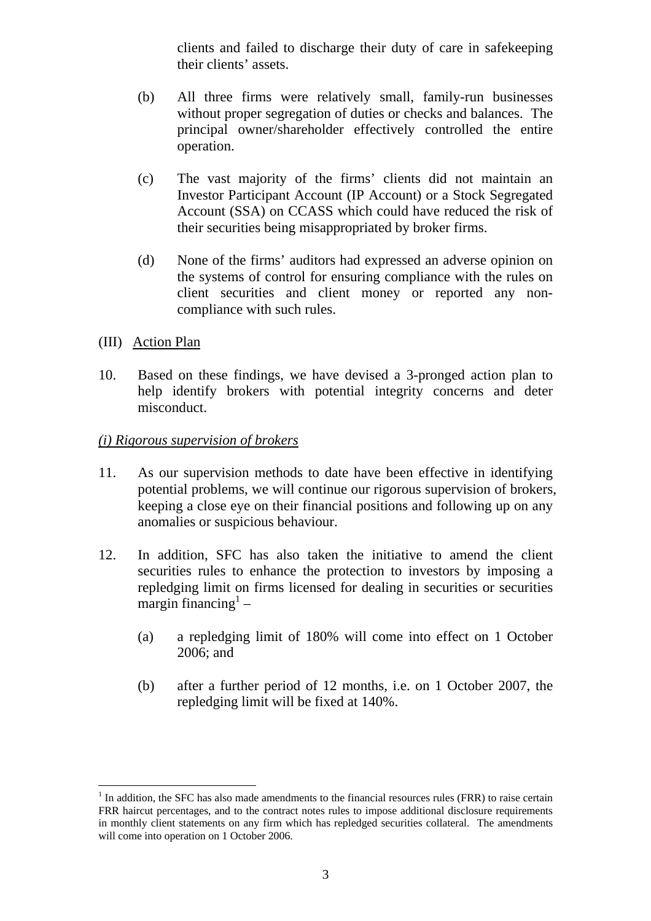clients and failed to discharge their duty of care in safekeeping their clients' assets.

- (b) All three firms were relatively small, family-run businesses without proper segregation of duties or checks and balances. The principal owner/shareholder effectively controlled the entire operation.
- (c) The vast majority of the firms' clients did not maintain an Investor Participant Account (IP Account) or a Stock Segregated Account (SSA) on CCASS which could have reduced the risk of their securities being misappropriated by broker firms.
- (d) None of the firms' auditors had expressed an adverse opinion on the systems of control for ensuring compliance with the rules on client securities and client money or reported any noncompliance with such rules.
- (III) Action Plan

 $\overline{a}$ 

10. Based on these findings, we have devised a 3-pronged action plan to help identify brokers with potential integrity concerns and deter misconduct.

#### *(i) Rigorous supervision of brokers*

- 11. As our supervision methods to date have been effective in identifying potential problems, we will continue our rigorous supervision of brokers, keeping a close eye on their financial positions and following up on any anomalies or suspicious behaviour.
- 12. In addition, SFC has also taken the initiative to amend the client securities rules to enhance the protection to investors by imposing a repledging limit on firms licensed for dealing in securities or securities  $\text{margin financing}^1 -$ 
	- (a) a repledging limit of 180% will come into effect on 1 October 2006; and
	- (b) after a further period of 12 months, i.e. on 1 October 2007, the repledging limit will be fixed at 140%.

 $<sup>1</sup>$  In addition, the SFC has also made amendments to the financial resources rules (FRR) to raise certain</sup> FRR haircut percentages, and to the contract notes rules to impose additional disclosure requirements in monthly client statements on any firm which has repledged securities collateral. The amendments will come into operation on 1 October 2006.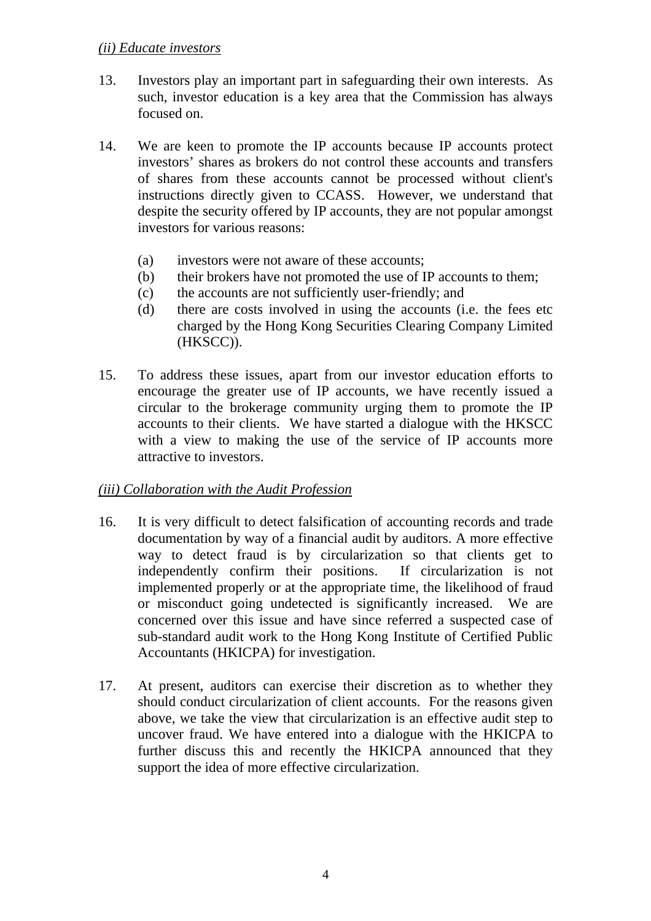- 13. Investors play an important part in safeguarding their own interests. As such, investor education is a key area that the Commission has always focused on.
- 14. We are keen to promote the IP accounts because IP accounts protect investors' shares as brokers do not control these accounts and transfers of shares from these accounts cannot be processed without client's instructions directly given to CCASS. However, we understand that despite the security offered by IP accounts, they are not popular amongst investors for various reasons:
	- (a) investors were not aware of these accounts;
	- (b) their brokers have not promoted the use of IP accounts to them;
	- (c) the accounts are not sufficiently user-friendly; and
	- (d) there are costs involved in using the accounts (i.e. the fees etc charged by the Hong Kong Securities Clearing Company Limited (HKSCC)).
- 15. To address these issues, apart from our investor education efforts to encourage the greater use of IP accounts, we have recently issued a circular to the brokerage community urging them to promote the IP accounts to their clients. We have started a dialogue with the HKSCC with a view to making the use of the service of IP accounts more attractive to investors.

# *(iii) Collaboration with the Audit Profession*

- 16. It is very difficult to detect falsification of accounting records and trade documentation by way of a financial audit by auditors. A more effective way to detect fraud is by circularization so that clients get to independently confirm their positions. If circularization is not implemented properly or at the appropriate time, the likelihood of fraud or misconduct going undetected is significantly increased. We are concerned over this issue and have since referred a suspected case of sub-standard audit work to the Hong Kong Institute of Certified Public Accountants (HKICPA) for investigation.
- 17. At present, auditors can exercise their discretion as to whether they should conduct circularization of client accounts. For the reasons given above, we take the view that circularization is an effective audit step to uncover fraud. We have entered into a dialogue with the HKICPA to further discuss this and recently the HKICPA announced that they support the idea of more effective circularization.